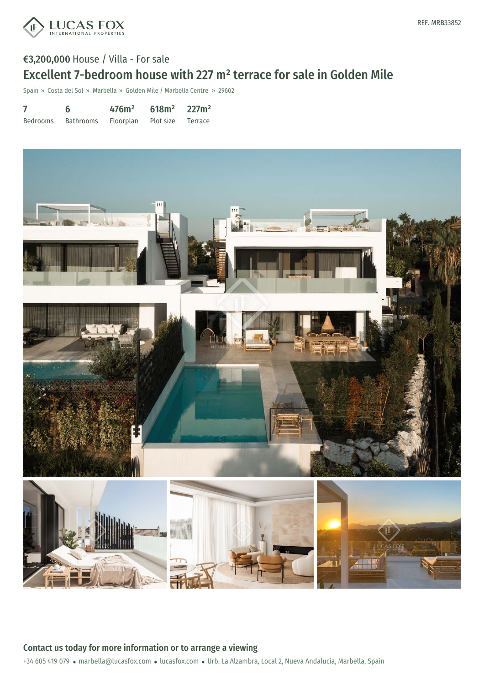

# €3,200,000 House / Villa - For sale Excellent 7-bedroom house with 227 m² terrace for sale in Golden Mile

Spain » Costa del Sol » Marbella » Golden Mile / Marbella Centre » 29602

7 Bedrooms 6 Bathrooms 476m² Floorplan 618m² Plot size 227m² Terrace



Contact us today for more information or to arrange a viewing

+34 605 419 079 · marbella@lucasfox.com · lucasfox.com · Urb. La Alzambra, Local 2, Nueva Andalucia, Marbella, Spain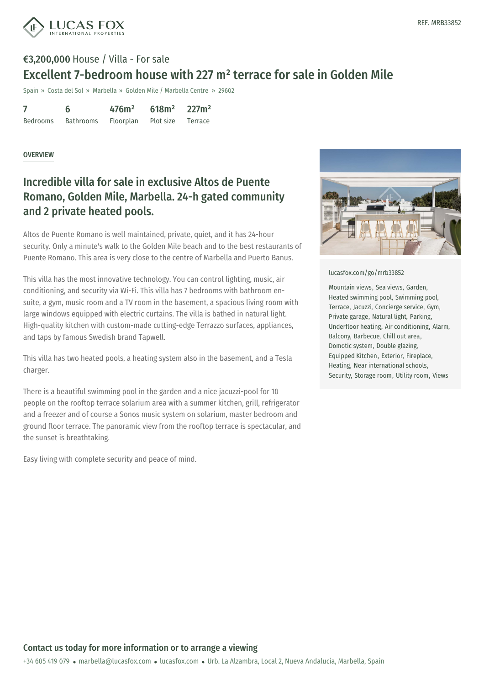

# €3,200,000 House / Villa - For sale Excellent 7-bedroom house with 227 m² terrace for sale in Golden Mile

Spain » Costa del Sol » Marbella » Golden Mile / Marbella Centre » 29602

|                 | 6         | 476m <sup>2</sup> | 618m <sup>2</sup> | 227m <sup>2</sup> |
|-----------------|-----------|-------------------|-------------------|-------------------|
| <b>Bedrooms</b> | Bathrooms | Floorplan         | Plot size         | Terrace           |

### **OVERVIEW**

## Incredible villa for sale in exclusive Altos de Puente Romano, Golden Mile, Marbella. 24-h gated community and 2 private heated pools.

Altos de Puente Romano is well maintained, private, quiet, and it has 24-hour security. Only a minute's walk to the Golden Mile beach and to the best restaurants of Puente Romano. This area is very close to the centre of Marbella and Puerto Banus.

This villa has the most innovative technology. You can control lighting, music, air conditioning, and security via Wi-Fi. This villa has 7 bedrooms with bathroom ensuite, a gym, music room and a TV room in the basement, a spacious living room with large windows equipped with electric curtains. The villa is bathed in natural light. High-quality kitchen with custom-made cutting-edge Terrazzo surfaces, appliances, and taps by famous Swedish brand Tapwell.

This villa has two heated pools, a heating system also in the basement, and a Tesla charger.

There is a beautiful swimming pool in the garden and a nice jacuzzi-pool for 10 people on the rooftop terrace solarium area with a summer kitchen, grill, refrigerator and a freezer and of course a Sonos music system on solarium, master bedroom and ground floor terrace. The panoramic view from the rooftop terrace is spectacular, and the sunset is breathtaking.

Easy living with complete security and peace of mind.



#### [lucasfox.com/go/mrb33852](https://www.lucasfox.com/go/mrb33852)

Mountain views, Sea views, Garden, Heated swimming pool, Swimming pool, Terrace, Jacuzzi, Concierge service, Gym, Private garage, Natural light, Parking, Underfloor heating, Air conditioning, Alarm, Balcony, Barbecue, Chill out area, Domotic system, Double glazing, Equipped Kitchen, Exterior, Fireplace, Heating, Near international schools, Security, Storage room, Utility room, Views